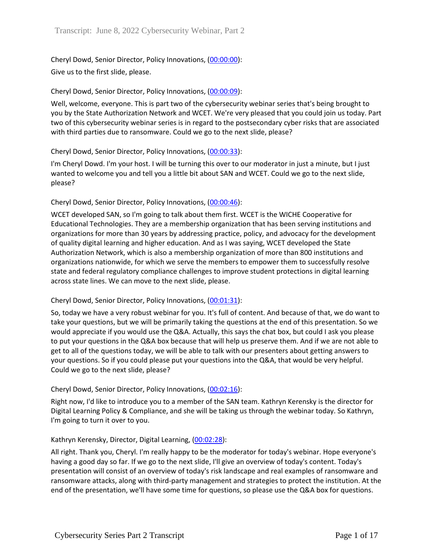Cheryl Dowd, Senior Director, Policy Innovations, [\(00:00:00\)](https://www.rev.com/transcript-editor/Edit?token=ZvarLAjfjhKbqvri1N7gxe4KJxjxXTOdhM-RevKOgrS91KAwuapClT5xuehaaQ6AdKj1y8HrBR2yXvmNHN3SEGU9kCU&loadFrom=DocumentDeeplink&ts=0.36): Give us to the first slide, please.

### Cheryl Dowd, Senior Director, Policy Innovations, [\(00:00:09\)](https://www.rev.com/transcript-editor/Edit?token=IyEQb_OJ3TsNA8-p2zDG9IW14tbWYQaxjcVSjArXwBbBecv-PmyYJLIGjdzVvetmicVMHTJY6OOtCw1kfvHK-61sv1Q&loadFrom=DocumentDeeplink&ts=9.05):

Well, welcome, everyone. This is part two of the cybersecurity webinar series that's being brought to you by the State Authorization Network and WCET. We're very pleased that you could join us today. Part two of this cybersecurity webinar series is in regard to the postsecondary cyber risks that are associated with third parties due to ransomware. Could we go to the next slide, please?

### Cheryl Dowd, Senior Director, Policy Innovations, [\(00:00:33\)](https://www.rev.com/transcript-editor/Edit?token=M5CzbmxIxWh_bt-rONWAKqw5NzVqPyaFygx9C-zWoFO2jCrFSgYK6fOqsuezNIsdMCupKx_rJzXPGx0gNjTy5vbisiI&loadFrom=DocumentDeeplink&ts=33.45):

I'm Cheryl Dowd. I'm your host. I will be turning this over to our moderator in just a minute, but I just wanted to welcome you and tell you a little bit about SAN and WCET. Could we go to the next slide, please?

# Cheryl Dowd, Senior Director, Policy Innovations, [\(00:00:46\)](https://www.rev.com/transcript-editor/Edit?token=RM2b49wstI7Zv-pi6u8Cn9SOlTlQYM1RUEZsFT47lpVztDZQDu0rytav6hJ1WzsVNeSIM5dQYDFbHwpmRuowRQLoZ44&loadFrom=DocumentDeeplink&ts=46.11):

WCET developed SAN, so I'm going to talk about them first. WCET is the WICHE Cooperative for Educational Technologies. They are a membership organization that has been serving institutions and organizations for more than 30 years by addressing practice, policy, and advocacy for the development of quality digital learning and higher education. And as I was saying, WCET developed the State Authorization Network, which is also a membership organization of more than 800 institutions and organizations nationwide, for which we serve the members to empower them to successfully resolve state and federal regulatory compliance challenges to improve student protections in digital learning across state lines. We can move to the next slide, please.

### Cheryl Dowd, Senior Director, Policy Innovations, [\(00:01:31\)](https://www.rev.com/transcript-editor/Edit?token=tzr8MsBpIQy7NHWdhb86sOjYrv_FzK-ROmlPqld91-91n5zfzst6gnsiesy7lxdrySmxTbwbJP64r6qFvw8fCYdKNoc&loadFrom=DocumentDeeplink&ts=91.07):

So, today we have a very robust webinar for you. It's full of content. And because of that, we do want to take your questions, but we will be primarily taking the questions at the end of this presentation. So we would appreciate if you would use the Q&A. Actually, this says the chat box, but could I ask you please to put your questions in the Q&A box because that will help us preserve them. And if we are not able to get to all of the questions today, we will be able to talk with our presenters about getting answers to your questions. So if you could please put your questions into the Q&A, that would be very helpful. Could we go to the next slide, please?

### Cheryl Dowd, Senior Director, Policy Innovations, [\(00:02:16\)](https://www.rev.com/transcript-editor/Edit?token=y-4qR_hf4KeY5EhLfvtTSCxqyFyFrhIiP3uKMkrBJBWw06xXSjeNkjLkOicy2wyVDtmUT-uyoCwnvg020v2HrblI-zg&loadFrom=DocumentDeeplink&ts=136.03):

Right now, I'd like to introduce you to a member of the SAN team. Kathryn Kerensky is the director for Digital Learning Policy & Compliance, and she will be taking us through the webinar today. So Kathryn, I'm going to turn it over to you.

### Kathryn Kerensky, Director, Digital Learning, [\(00:02:28\)](https://www.rev.com/transcript-editor/Edit?token=zsXfk8Q76W-kDw1cdA12K5rqU0KwtlW4XC56_liSTcqrKIdPaJWieW6AxhRwor-K4ZsX_99YFjF5tej7jClQ9O72TI0&loadFrom=DocumentDeeplink&ts=148.75):

All right. Thank you, Cheryl. I'm really happy to be the moderator for today's webinar. Hope everyone's having a good day so far. If we go to the next slide, I'll give an overview of today's content. Today's presentation will consist of an overview of today's risk landscape and real examples of ransomware and ransomware attacks, along with third-party management and strategies to protect the institution. At the end of the presentation, we'll have some time for questions, so please use the Q&A box for questions.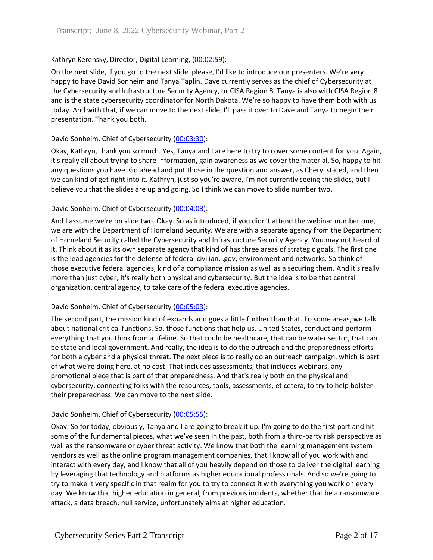## Kathryn Kerensky, Director, Digital Learning, [\(00:02:59\)](https://www.rev.com/transcript-editor/Edit?token=m85F-Pr53I8Sw46wr11VanCPESZ3mQzFJOjRJLNkOAUwdS5cc6fQrglxIN_h1otgWqAnVpdjKSjPVWPfBm-tk9SEwnw&loadFrom=DocumentDeeplink&ts=179.25):

On the next slide, if you go to the next slide, please, I'd like to introduce our presenters. We're very happy to have David Sonheim and Tanya Taplin. Dave currently serves as the chief of Cybersecurity at the Cybersecurity and Infrastructure Security Agency, or CISA Region 8. Tanya is also with CISA Region 8 and is the state cybersecurity coordinator for North Dakota. We're so happy to have them both with us today. And with that, if we can move to the next slide, I'll pass it over to Dave and Tanya to begin their presentation. Thank you both.

### David Sonheim, Chief of Cybersecurity [\(00:03:30\)](https://www.rev.com/transcript-editor/Edit?token=chL36bysJmrs9SH5Fj2O9UywBZqZMiIa-0TP5TB5eHUzWZ5VVBwB8r0P1kqZVNkRgtjQEdN3c0JrxWNdC5XyrbMSpRA&loadFrom=DocumentDeeplink&ts=210.51):

Okay, Kathryn, thank you so much. Yes, Tanya and I are here to try to cover some content for you. Again, it's really all about trying to share information, gain awareness as we cover the material. So, happy to hit any questions you have. Go ahead and put those in the question and answer, as Cheryl stated, and then we can kind of get right into it. Kathryn, just so you're aware, I'm not currently seeing the slides, but I believe you that the slides are up and going. So I think we can move to slide number two.

### David Sonheim, Chief of Cybersecurity [\(00:04:03\)](https://www.rev.com/transcript-editor/Edit?token=s1Fib10OAGvw2fTKW2yG6zu1dqkv5WKoSwvKtpiaWdbHmuAl0grmY3JR3qBdZrYp2IVbJ1kyfYbdqsNhqzq0BKnGQts&loadFrom=DocumentDeeplink&ts=243.94):

And I assume we're on slide two. Okay. So as introduced, if you didn't attend the webinar number one, we are with the Department of Homeland Security. We are with a separate agency from the Department of Homeland Security called the Cybersecurity and Infrastructure Security Agency. You may not heard of it. Think about it as its own separate agency that kind of has three areas of strategic goals. The first one is the lead agencies for the defense of federal civilian, .gov, environment and networks. So think of those executive federal agencies, kind of a compliance mission as well as a securing them. And it's really more than just cyber, it's really both physical and cybersecurity. But the idea is to be that central organization, central agency, to take care of the federal executive agencies.

### David Sonheim, Chief of Cybersecurity [\(00:05:03\)](https://www.rev.com/transcript-editor/Edit?token=L5zrOuy9g-BVFYWhzhUDWSO3RqcbQK7ZMdanoqW58x5vP_GJn8543-iD1eRHilOuj7qc1jK2fIa5LZZsPoDCbaeMboI&loadFrom=DocumentDeeplink&ts=303.46):

The second part, the mission kind of expands and goes a little further than that. To some areas, we talk about national critical functions. So, those functions that help us, United States, conduct and perform everything that you think from a lifeline. So that could be healthcare, that can be water sector, that can be state and local government. And really, the idea is to do the outreach and the preparedness efforts for both a cyber and a physical threat. The next piece is to really do an outreach campaign, which is part of what we're doing here, at no cost. That includes assessments, that includes webinars, any promotional piece that is part of that preparedness. And that's really both on the physical and cybersecurity, connecting folks with the resources, tools, assessments, et cetera, to try to help bolster their preparedness. We can move to the next slide.

### David Sonheim, Chief of Cybersecurity [\(00:05:55\)](https://www.rev.com/transcript-editor/Edit?token=mD8xFCrAyBE2LxRqO95xH4w0gAMLQS4e1tm9Jgb3P2A1C0Om5gO9oZ9J9t4Diyg4vhqhB6f7Iaa7UXlExa3dT9WFom4&loadFrom=DocumentDeeplink&ts=355.28):

Okay. So for today, obviously, Tanya and I are going to break it up. I'm going to do the first part and hit some of the fundamental pieces, what we've seen in the past, both from a third-party risk perspective as well as the ransomware or cyber threat activity. We know that both the learning management system vendors as well as the online program management companies, that I know all of you work with and interact with every day, and I know that all of you heavily depend on those to deliver the digital learning by leveraging that technology and platforms as higher educational professionals. And so we're going to try to make it very specific in that realm for you to try to connect it with everything you work on every day. We know that higher education in general, from previous incidents, whether that be a ransomware attack, a data breach, null service, unfortunately aims at higher education.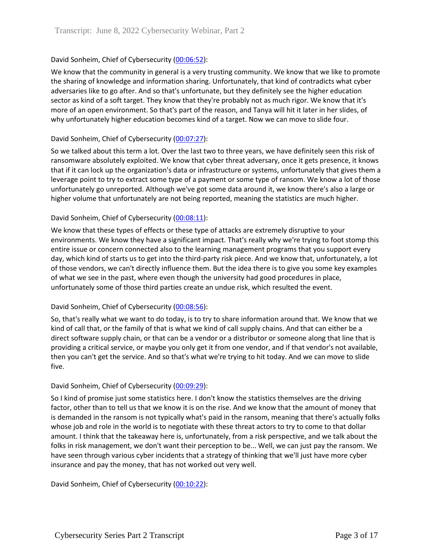# David Sonheim, Chief of Cybersecurity [\(00:06:52\)](https://www.rev.com/transcript-editor/Edit?token=TGZCHwA3u6jR-RCoWAtanbdzzi9OfyTyj8wg_UQJ5Tvxt_CRWwsZVM43AiQjL1LfIq-3SGIEDs-St3EDlcwLQNzsDBg&loadFrom=DocumentDeeplink&ts=412.14):

We know that the community in general is a very trusting community. We know that we like to promote the sharing of knowledge and information sharing. Unfortunately, that kind of contradicts what cyber adversaries like to go after. And so that's unfortunate, but they definitely see the higher education sector as kind of a soft target. They know that they're probably not as much rigor. We know that it's more of an open environment. So that's part of the reason, and Tanya will hit it later in her slides, of why unfortunately higher education becomes kind of a target. Now we can move to slide four.

### David Sonheim, Chief of Cybersecurity [\(00:07:27\)](https://www.rev.com/transcript-editor/Edit?token=ZqbfkjdRE4ii02Fcqee9TZwF1_jxwX-_GGTyOBVBchMw7HUqHryEEsbawpn3wEs6orXK1pTZVv9Lbg_G2mFvxbl3pg0&loadFrom=DocumentDeeplink&ts=447.1):

So we talked about this term a lot. Over the last two to three years, we have definitely seen this risk of ransomware absolutely exploited. We know that cyber threat adversary, once it gets presence, it knows that if it can lock up the organization's data or infrastructure or systems, unfortunately that gives them a leverage point to try to extract some type of a payment or some type of ransom. We know a lot of those unfortunately go unreported. Although we've got some data around it, we know there's also a large or higher volume that unfortunately are not being reported, meaning the statistics are much higher.

### David Sonheim, Chief of Cybersecurity [\(00:08:11\)](https://www.rev.com/transcript-editor/Edit?token=Due_widRAE5UtgWkfIEM6eF06EXHyVBLstX60UV2sdwz98LsXMYcP8AJG-QNnws08p2_NJ1y4o0NugKConU7Ca3tYw0&loadFrom=DocumentDeeplink&ts=491.77):

We know that these types of effects or these type of attacks are extremely disruptive to your environments. We know they have a significant impact. That's really why we're trying to foot stomp this entire issue or concern connected also to the learning management programs that you support every day, which kind of starts us to get into the third-party risk piece. And we know that, unfortunately, a lot of those vendors, we can't directly influence them. But the idea there is to give you some key examples of what we see in the past, where even though the university had good procedures in place, unfortunately some of those third parties create an undue risk, which resulted the event.

### David Sonheim, Chief of Cybersecurity [\(00:08:56\)](https://www.rev.com/transcript-editor/Edit?token=bDX3L-RxW3V4_yTDDNcVGwibhdoDqFNKiDyvPkC_LlTVOXHt-8qO0Kqj0Noi8GtkDq-d1cTiX9HX95B2TgGHu2oxZA0&loadFrom=DocumentDeeplink&ts=536.09):

So, that's really what we want to do today, is to try to share information around that. We know that we kind of call that, or the family of that is what we kind of call supply chains. And that can either be a direct software supply chain, or that can be a vendor or a distributor or someone along that line that is providing a critical service, or maybe you only get it from one vendor, and if that vendor's not available, then you can't get the service. And so that's what we're trying to hit today. And we can move to slide five.

### David Sonheim, Chief of Cybersecurity [\(00:09:29\)](https://www.rev.com/transcript-editor/Edit?token=rXW-olgnIxsD_bPQwHdXIsQ6uxghzHjGK6Yq9GulSFWTslE52kGYRmrvBzAJWL3rNQVaVOL3mKZMf5GZpl7v3u5DHPg&loadFrom=DocumentDeeplink&ts=569.86):

So I kind of promise just some statistics here. I don't know the statistics themselves are the driving factor, other than to tell us that we know it is on the rise. And we know that the amount of money that is demanded in the ransom is not typically what's paid in the ransom, meaning that there's actually folks whose job and role in the world is to negotiate with these threat actors to try to come to that dollar amount. I think that the takeaway here is, unfortunately, from a risk perspective, and we talk about the folks in risk management, we don't want their perception to be... Well, we can just pay the ransom. We have seen through various cyber incidents that a strategy of thinking that we'll just have more cyber insurance and pay the money, that has not worked out very well.

David Sonheim, Chief of Cybersecurity [\(00:10:22\)](https://www.rev.com/transcript-editor/Edit?token=eCneOwdM9HXr0I3UChZMSWGXDCE1PMMbOPHN1bY722mTmQA7ZCfifmHnpQN5QVRwe5ckBblPyITOhwRdLC8TGD87v7U&loadFrom=DocumentDeeplink&ts=622.68):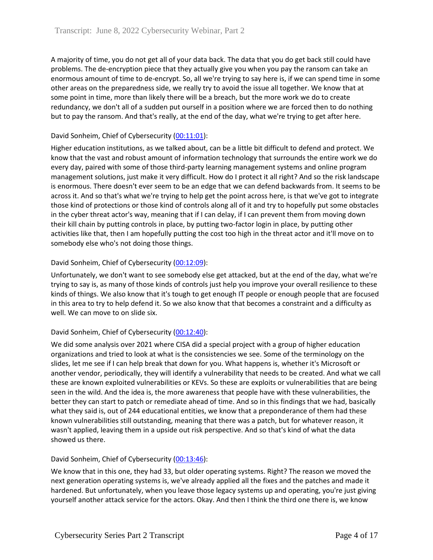A majority of time, you do not get all of your data back. The data that you do get back still could have problems. The de-encryption piece that they actually give you when you pay the ransom can take an enormous amount of time to de-encrypt. So, all we're trying to say here is, if we can spend time in some other areas on the preparedness side, we really try to avoid the issue all together. We know that at some point in time, more than likely there will be a breach, but the more work we do to create redundancy, we don't all of a sudden put ourself in a position where we are forced then to do nothing but to pay the ransom. And that's really, at the end of the day, what we're trying to get after here.

# David Sonheim, Chief of Cybersecurity [\(00:11:01\)](https://www.rev.com/transcript-editor/Edit?token=CxVRrAA25mr3-Dhii8xK4JUKhnu6Qcgghw4ndzKhUlid-qpSiULcPPVz0KfbOQGdNeA9K43F-OsOWJSsVPrMAHxKOio&loadFrom=DocumentDeeplink&ts=661.25):

Higher education institutions, as we talked about, can be a little bit difficult to defend and protect. We know that the vast and robust amount of information technology that surrounds the entire work we do every day, paired with some of those third-party learning management systems and online program management solutions, just make it very difficult. How do I protect it all right? And so the risk landscape is enormous. There doesn't ever seem to be an edge that we can defend backwards from. It seems to be across it. And so that's what we're trying to help get the point across here, is that we've got to integrate those kind of protections or those kind of controls along all of it and try to hopefully put some obstacles in the cyber threat actor's way, meaning that if I can delay, if I can prevent them from moving down their kill chain by putting controls in place, by putting two-factor login in place, by putting other activities like that, then I am hopefully putting the cost too high in the threat actor and it'll move on to somebody else who's not doing those things.

# David Sonheim, Chief of Cybersecurity [\(00:12:09\)](https://www.rev.com/transcript-editor/Edit?token=gDpbn_hfK7eVJeHBKYUQvUHOjwuQsk1z0WmbQSVBpCdbfJ4NSLGtrecQPlWUXgpb73t5e0eSrcWWlUThfe4VT7rOR-Q&loadFrom=DocumentDeeplink&ts=729.79):

Unfortunately, we don't want to see somebody else get attacked, but at the end of the day, what we're trying to say is, as many of those kinds of controls just help you improve your overall resilience to these kinds of things. We also know that it's tough to get enough IT people or enough people that are focused in this area to try to help defend it. So we also know that that becomes a constraint and a difficulty as well. We can move to on slide six.

### David Sonheim, Chief of Cybersecurity [\(00:12:40\)](https://www.rev.com/transcript-editor/Edit?token=QclUVaRz4z5ItYm02PUKFVqVnCGdvk-XTcADaaI6eLAGPEeah_VbcUqasEqc8MTpJ4gSXNp4UpEJQ-zKp1tAFj0A4Oo&loadFrom=DocumentDeeplink&ts=760.15):

We did some analysis over 2021 where CISA did a special project with a group of higher education organizations and tried to look at what is the consistencies we see. Some of the terminology on the slides, let me see if I can help break that down for you. What happens is, whether it's Microsoft or another vendor, periodically, they will identify a vulnerability that needs to be created. And what we call these are known exploited vulnerabilities or KEVs. So these are exploits or vulnerabilities that are being seen in the wild. And the idea is, the more awareness that people have with these vulnerabilities, the better they can start to patch or remediate ahead of time. And so in this findings that we had, basically what they said is, out of 244 educational entities, we know that a preponderance of them had these known vulnerabilities still outstanding, meaning that there was a patch, but for whatever reason, it wasn't applied, leaving them in a upside out risk perspective. And so that's kind of what the data showed us there.

### David Sonheim, Chief of Cybersecurity [\(00:13:46\)](https://www.rev.com/transcript-editor/Edit?token=JOGUWy_xyyvfh9spX5behoC9TS4HJjOR34P1X_SUi0Sqv5v2wJi5Zc5LzT-BBEDfm4xXBG7Ythy0ZnOtBeJGuuYLaKc&loadFrom=DocumentDeeplink&ts=826.18):

We know that in this one, they had 33, but older operating systems. Right? The reason we moved the next generation operating systems is, we've already applied all the fixes and the patches and made it hardened. But unfortunately, when you leave those legacy systems up and operating, you're just giving yourself another attack service for the actors. Okay. And then I think the third one there is, we know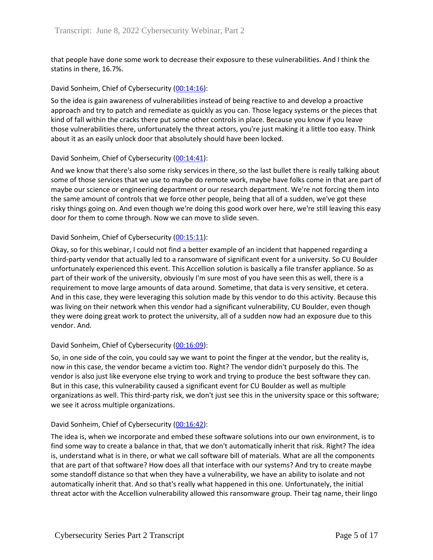that people have done some work to decrease their exposure to these vulnerabilities. And I think the statins in there, 16.7%.

#### David Sonheim, Chief of Cybersecurity [\(00:14:16\)](https://www.rev.com/transcript-editor/Edit?token=S2gpO_iQ06JJAlCiFsWI4vIpPFsOD7JSpH61RCD040vs05913JN_iyf9E85FYBgVptQWOE53jyGoLbez5ELgP1rjk1M&loadFrom=DocumentDeeplink&ts=856.59):

So the idea is gain awareness of vulnerabilities instead of being reactive to and develop a proactive approach and try to patch and remediate as quickly as you can. Those legacy systems or the pieces that kind of fall within the cracks there put some other controls in place. Because you know if you leave those vulnerabilities there, unfortunately the threat actors, you're just making it a little too easy. Think about it as an easily unlock door that absolutely should have been locked.

#### David Sonheim, Chief of Cybersecurity [\(00:14:41\)](https://www.rev.com/transcript-editor/Edit?token=cF1hUvTYBAu_Sp_AVVEfbE3XyQDpdNvaDjQv59idJrM9Pvq3Oj62vKNQRdfnMCJS2UnKQ5bjocQwBnjPxHVhRxlKSlc&loadFrom=DocumentDeeplink&ts=881.94):

And we know that there's also some risky services in there, so the last bullet there is really talking about some of those services that we use to maybe do remote work, maybe have folks come in that are part of maybe our science or engineering department or our research department. We're not forcing them into the same amount of controls that we force other people, being that all of a sudden, we've got these risky things going on. And even though we're doing this good work over here, we're still leaving this easy door for them to come through. Now we can move to slide seven.

### David Sonheim, Chief of Cybersecurity [\(00:15:11\)](https://www.rev.com/transcript-editor/Edit?token=T4Hlq4KfZTD5m8qSC1WoJ4Q_jbk4e4Z8_1sfsG5pCQ3WkEivQCsvA1U4DxeEFiIc-vBBDd1l0fylS1a9YH2J5nM1-4A&loadFrom=DocumentDeeplink&ts=911.78):

Okay, so for this webinar, I could not find a better example of an incident that happened regarding a third-party vendor that actually led to a ransomware of significant event for a university. So CU Boulder unfortunately experienced this event. This Accellion solution is basically a file transfer appliance. So as part of their work of the university, obviously I'm sure most of you have seen this as well, there is a requirement to move large amounts of data around. Sometime, that data is very sensitive, et cetera. And in this case, they were leveraging this solution made by this vendor to do this activity. Because this was living on their network when this vendor had a significant vulnerability, CU Boulder, even though they were doing great work to protect the university, all of a sudden now had an exposure due to this vendor. And.

### David Sonheim, Chief of Cybersecurity [\(00:16:09\)](https://www.rev.com/transcript-editor/Edit?token=UI6a8GznWqa0chMlsYTIz5bTbvn_GWx8dLQucOaDGTJ-YMST9C0WdS9KJdpgYEEHEM2ESucVVJIaN8H4cZ5wp2VjiDk&loadFrom=DocumentDeeplink&ts=969.21):

So, in one side of the coin, you could say we want to point the finger at the vendor, but the reality is, now in this case, the vendor became a victim too. Right? The vendor didn't purposely do this. The vendor is also just like everyone else trying to work and trying to produce the best software they can. But in this case, this vulnerability caused a significant event for CU Boulder as well as multiple organizations as well. This third-party risk, we don't just see this in the university space or this software; we see it across multiple organizations.

#### David Sonheim, Chief of Cybersecurity [\(00:16:42\)](https://www.rev.com/transcript-editor/Edit?token=g8u9EAdLRYpHKkdlQDoQn6vO1CbJoPprAq9kvkfGBSUt2fjc1XYUlMLbOebi644JDivOqBracjt-X-9dCG337075kqs&loadFrom=DocumentDeeplink&ts=1002.5):

The idea is, when we incorporate and embed these software solutions into our own environment, is to find some way to create a balance in that, that we don't automatically inherit that risk. Right? The idea is, understand what is in there, or what we call software bill of materials. What are all the components that are part of that software? How does all that interface with our systems? And try to create maybe some standoff distance so that when they have a vulnerability, we have an ability to isolate and not automatically inherit that. And so that's really what happened in this one. Unfortunately, the initial threat actor with the Accellion vulnerability allowed this ransomware group. Their tag name, their lingo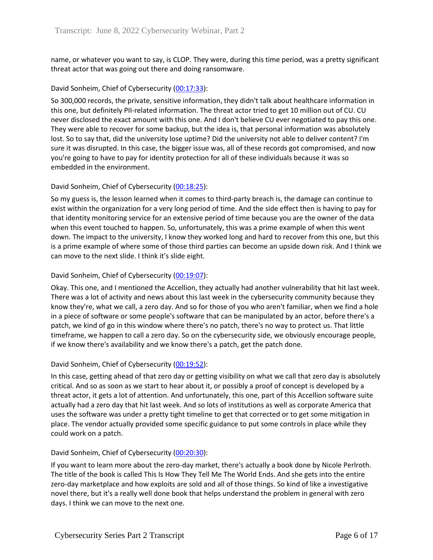name, or whatever you want to say, is CLOP. They were, during this time period, was a pretty significant threat actor that was going out there and doing ransomware.

### David Sonheim, Chief of Cybersecurity [\(00:17:33\)](https://www.rev.com/transcript-editor/Edit?token=kgBs7FawjBAHNsEjEH3uhgEKEgX_qxj-HdyqTgiHD4lEVmH8tAK2hiKS79PET8xSRVrdoL609TsrQD69HRJnSBlGg6A&loadFrom=DocumentDeeplink&ts=1053.85):

So 300,000 records, the private, sensitive information, they didn't talk about healthcare information in this one, but definitely PII-related information. The threat actor tried to get 10 million out of CU. CU never disclosed the exact amount with this one. And I don't believe CU ever negotiated to pay this one. They were able to recover for some backup, but the idea is, that personal information was absolutely lost. So to say that, did the university lose uptime? Did the university not able to deliver content? I'm sure it was disrupted. In this case, the bigger issue was, all of these records got compromised, and now you're going to have to pay for identity protection for all of these individuals because it was so embedded in the environment.

### David Sonheim, Chief of Cybersecurity [\(00:18:25\)](https://www.rev.com/transcript-editor/Edit?token=t49KGYzzlr-a0NRcSAPq6BONviHGSgT2vbqUIYDkwBnp0EoE-V-JtSe269IvjFdnEBcRCzN5-O8m3zg7aqqdTsGieYs&loadFrom=DocumentDeeplink&ts=1105.83):

So my guess is, the lesson learned when it comes to third-party breach is, the damage can continue to exist within the organization for a very long period of time. And the side effect then is having to pay for that identity monitoring service for an extensive period of time because you are the owner of the data when this event touched to happen. So, unfortunately, this was a prime example of when this went down. The impact to the university, I know they worked long and hard to recover from this one, but this is a prime example of where some of those third parties can become an upside down risk. And I think we can move to the next slide. I think it's slide eight.

### David Sonheim, Chief of Cybersecurity [\(00:19:07\)](https://www.rev.com/transcript-editor/Edit?token=4-hbpmXVGF3yqD2DNE9TJynSPQJawVtjBO7kTfhP9WEu126SXr1Uj-3-PGMmdZi1b4YM8VqK7GO_st18RIQLwh-EClk&loadFrom=DocumentDeeplink&ts=1147.51):

Okay. This one, and I mentioned the Accellion, they actually had another vulnerability that hit last week. There was a lot of activity and news about this last week in the cybersecurity community because they know they're, what we call, a zero day. And so for those of you who aren't familiar, when we find a hole in a piece of software or some people's software that can be manipulated by an actor, before there's a patch, we kind of go in this window where there's no patch, there's no way to protect us. That little timeframe, we happen to call a zero day. So on the cybersecurity side, we obviously encourage people, if we know there's availability and we know there's a patch, get the patch done.

### David Sonheim, Chief of Cybersecurity [\(00:19:52\)](https://www.rev.com/transcript-editor/Edit?token=LAnaVf39rRZMWQ32emZGcTAOz36RVoo4eK-ZiRxdCH4nBnV4xdb-L4bNXjZ0saGHy6nQr5vas-bDSWiBRjKMrXPSM6o&loadFrom=DocumentDeeplink&ts=1192.81):

In this case, getting ahead of that zero day or getting visibility on what we call that zero day is absolutely critical. And so as soon as we start to hear about it, or possibly a proof of concept is developed by a threat actor, it gets a lot of attention. And unfortunately, this one, part of this Accellion software suite actually had a zero day that hit last week. And so lots of institutions as well as corporate America that uses the software was under a pretty tight timeline to get that corrected or to get some mitigation in place. The vendor actually provided some specific guidance to put some controls in place while they could work on a patch.

### David Sonheim, Chief of Cybersecurity [\(00:20:30\)](https://www.rev.com/transcript-editor/Edit?token=H8Wtmyk0rtAaYpmNulM5Tq3AIDf8_m0coFwKhL_0y2ykCT1Dy8jF2ymVM32xpGqg9BmelXRVDoXyANjS0oO1TW8tDTA&loadFrom=DocumentDeeplink&ts=1230.88):

If you want to learn more about the zero-day market, there's actually a book done by Nicole Perlroth. The title of the book is called This Is How They Tell Me The World Ends. And she gets into the entire zero-day marketplace and how exploits are sold and all of those things. So kind of like a investigative novel there, but it's a really well done book that helps understand the problem in general with zero days. I think we can move to the next one.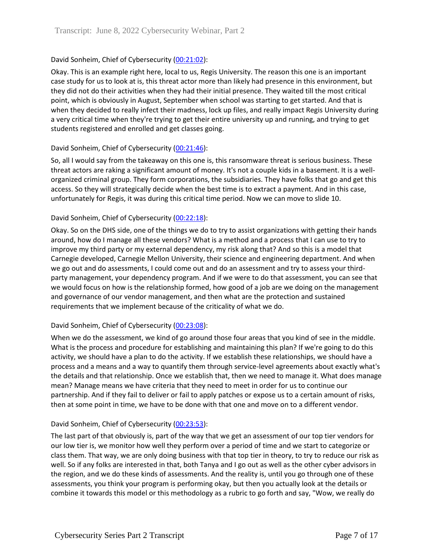## David Sonheim, Chief of Cybersecurity [\(00:21:02\)](https://www.rev.com/transcript-editor/Edit?token=34e-2JRi2uCQSAndiHNg3mQQqxAadnZTlcEqIGNsvJj5rzp7OzWVqmDnQv7xZ9r0QP8EAVCKMwMqN53801cBe_TgvAI&loadFrom=DocumentDeeplink&ts=1262.7):

Okay. This is an example right here, local to us, Regis University. The reason this one is an important case study for us to look at is, this threat actor more than likely had presence in this environment, but they did not do their activities when they had their initial presence. They waited till the most critical point, which is obviously in August, September when school was starting to get started. And that is when they decided to really infect their madness, lock up files, and really impact Regis University during a very critical time when they're trying to get their entire university up and running, and trying to get students registered and enrolled and get classes going.

### David Sonheim, Chief of Cybersecurity [\(00:21:46\)](https://www.rev.com/transcript-editor/Edit?token=24cgFluHt3259-r761Rn-FBe3jOs1-Jy0jar4m4mhk-ZyzHbbNXfZpczR88qdSFhoN9HJKTgIH9eNXp8SC_FeFMGZ4k&loadFrom=DocumentDeeplink&ts=1306.66):

So, all I would say from the takeaway on this one is, this ransomware threat is serious business. These threat actors are raking a significant amount of money. It's not a couple kids in a basement. It is a wellorganized criminal group. They form corporations, the subsidiaries. They have folks that go and get this access. So they will strategically decide when the best time is to extract a payment. And in this case, unfortunately for Regis, it was during this critical time period. Now we can move to slide 10.

### David Sonheim, Chief of Cybersecurity [\(00:22:18\)](https://www.rev.com/transcript-editor/Edit?token=v0fEUPtebB1XAd1uMFEkKheXNoNni8-ycxyssWBAt-HJWYmB9RruS0MhCJy75FLl0OgNm1DOEo_oYzOlaaBKiakOmag&loadFrom=DocumentDeeplink&ts=1338.84):

Okay. So on the DHS side, one of the things we do to try to assist organizations with getting their hands around, how do I manage all these vendors? What is a method and a process that I can use to try to improve my third party or my external dependency, my risk along that? And so this is a model that Carnegie developed, Carnegie Mellon University, their science and engineering department. And when we go out and do assessments, I could come out and do an assessment and try to assess your thirdparty management, your dependency program. And if we were to do that assessment, you can see that we would focus on how is the relationship formed, how good of a job are we doing on the management and governance of our vendor management, and then what are the protection and sustained requirements that we implement because of the criticality of what we do.

### David Sonheim, Chief of Cybersecurity [\(00:23:08\)](https://www.rev.com/transcript-editor/Edit?token=vtnxYgQNaqYtEgVMgFDpzeqVhyOcIFOrsvHiSWAEsj4WnMwpw54qTzj9MACrzk18qQzn8nJTMhRuFmZPDp4zplIiuHw&loadFrom=DocumentDeeplink&ts=1388.84):

When we do the assessment, we kind of go around those four areas that you kind of see in the middle. What is the process and procedure for establishing and maintaining this plan? If we're going to do this activity, we should have a plan to do the activity. If we establish these relationships, we should have a process and a means and a way to quantify them through service-level agreements about exactly what's the details and that relationship. Once we establish that, then we need to manage it. What does manage mean? Manage means we have criteria that they need to meet in order for us to continue our partnership. And if they fail to deliver or fail to apply patches or expose us to a certain amount of risks, then at some point in time, we have to be done with that one and move on to a different vendor.

### David Sonheim, Chief of Cybersecurity [\(00:23:53\)](https://www.rev.com/transcript-editor/Edit?token=p2iScUbdancfhQ2hh_ooiuBXKCAYMoqKG6y_1aZoZEH-AT8XbZBv6B9c3sZcVw0bAH2RHyB55RTiRyeioNp2Xj-PwqM&loadFrom=DocumentDeeplink&ts=1433.07):

The last part of that obviously is, part of the way that we get an assessment of our top tier vendors for our low tier is, we monitor how well they perform over a period of time and we start to categorize or class them. That way, we are only doing business with that top tier in theory, to try to reduce our risk as well. So if any folks are interested in that, both Tanya and I go out as well as the other cyber advisors in the region, and we do these kinds of assessments. And the reality is, until you go through one of these assessments, you think your program is performing okay, but then you actually look at the details or combine it towards this model or this methodology as a rubric to go forth and say, "Wow, we really do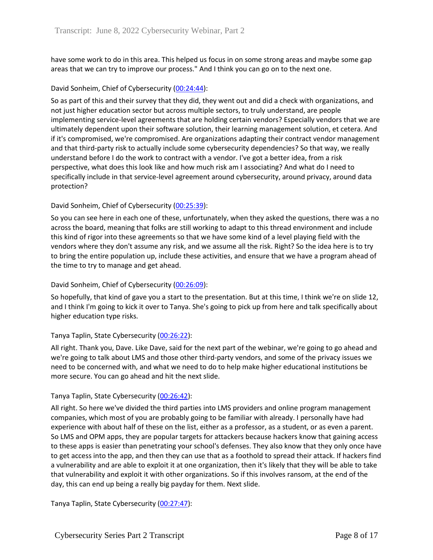have some work to do in this area. This helped us focus in on some strong areas and maybe some gap areas that we can try to improve our process." And I think you can go on to the next one.

### David Sonheim, Chief of Cybersecurity [\(00:24:44\)](https://www.rev.com/transcript-editor/Edit?token=Uy20n9qZzyJdPCKWOUmH-h1WTmF_FxR7ua9UIvuzDoGdv41GUQZUNF-L8cpmGwHiOe5yrygp1-qtDZgTZKJPCSqMrmo&loadFrom=DocumentDeeplink&ts=1484.75):

So as part of this and their survey that they did, they went out and did a check with organizations, and not just higher education sector but across multiple sectors, to truly understand, are people implementing service-level agreements that are holding certain vendors? Especially vendors that we are ultimately dependent upon their software solution, their learning management solution, et cetera. And if it's compromised, we're compromised. Are organizations adapting their contract vendor management and that third-party risk to actually include some cybersecurity dependencies? So that way, we really understand before I do the work to contract with a vendor. I've got a better idea, from a risk perspective, what does this look like and how much risk am I associating? And what do I need to specifically include in that service-level agreement around cybersecurity, around privacy, around data protection?

# David Sonheim, Chief of Cybersecurity [\(00:25:39\)](https://www.rev.com/transcript-editor/Edit?token=TkdKbX38MK2-L1z6ibdgR6XGWMv9OC_dPRTeAfI5r3NcxTBc3xw7m-ExRpPRltgBykfkqWa4NmAGlII2ReEuvtVMymg&loadFrom=DocumentDeeplink&ts=1539.41):

So you can see here in each one of these, unfortunately, when they asked the questions, there was a no across the board, meaning that folks are still working to adapt to this thread environment and include this kind of rigor into these agreements so that we have some kind of a level playing field with the vendors where they don't assume any risk, and we assume all the risk. Right? So the idea here is to try to bring the entire population up, include these activities, and ensure that we have a program ahead of the time to try to manage and get ahead.

### David Sonheim, Chief of Cybersecurity [\(00:26:09\)](https://www.rev.com/transcript-editor/Edit?token=ZaBxCLa3lZx8c0BCcMyQ9xGdUdjydxQ1g9mNWNygD3Kf1rZwG_Fy8S426V6waI8CyenuJKgUMVa_-Ul7dGZoVdF9Ym0&loadFrom=DocumentDeeplink&ts=1569.48):

So hopefully, that kind of gave you a start to the presentation. But at this time, I think we're on slide 12, and I think I'm going to kick it over to Tanya. She's going to pick up from here and talk specifically about higher education type risks.

### Tanya Taplin, State Cybersecurity [\(00:26:22\)](https://www.rev.com/transcript-editor/Edit?token=lxogptIemOpXDbL3-OQk8oNW5SbMpKVKxVSda09P6AH9zht7K9T4FLf4lT8HiOzJavyU1Xy8pkUJDtigu-RidZ6dHTE&loadFrom=DocumentDeeplink&ts=1582.01):

All right. Thank you, Dave. Like Dave, said for the next part of the webinar, we're going to go ahead and we're going to talk about LMS and those other third-party vendors, and some of the privacy issues we need to be concerned with, and what we need to do to help make higher educational institutions be more secure. You can go ahead and hit the next slide.

### Tanya Taplin, State Cybersecurity [\(00:26:42\)](https://www.rev.com/transcript-editor/Edit?token=ENvrvEiaVxGPopuv08LKGKexqan5ZmJsLKBee5ARCjuWhgmgZm0fCIleNHTABwIgYWYRHEvSSjZCFjsr6XwoDP_6I48&loadFrom=DocumentDeeplink&ts=1602.81):

All right. So here we've divided the third parties into LMS providers and online program management companies, which most of you are probably going to be familiar with already. I personally have had experience with about half of these on the list, either as a professor, as a student, or as even a parent. So LMS and OPM apps, they are popular targets for attackers because hackers know that gaining access to these apps is easier than penetrating your school's defenses. They also know that they only once have to get access into the app, and then they can use that as a foothold to spread their attack. If hackers find a vulnerability and are able to exploit it at one organization, then it's likely that they will be able to take that vulnerability and exploit it with other organizations. So if this involves ransom, at the end of the day, this can end up being a really big payday for them. Next slide.

Tanya Taplin, State Cybersecurity [\(00:27:47\)](https://www.rev.com/transcript-editor/Edit?token=S5Kr0viczSZLzIT7C3xH4c8lTv7e7F8M2xRdvk8jrd4v-XCD43DtIRRFbYK1wqgKgCvUsqMktFBuETYhjE31ztQxHwU&loadFrom=DocumentDeeplink&ts=1667.29):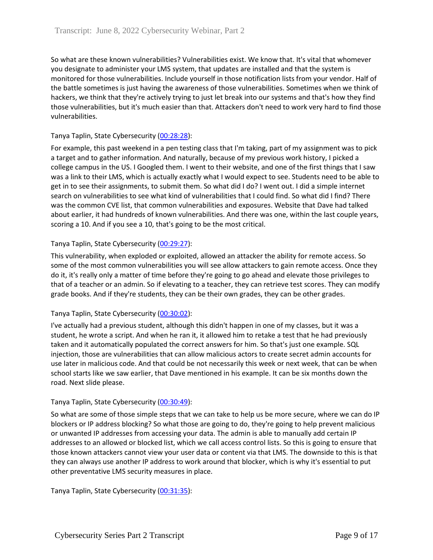So what are these known vulnerabilities? Vulnerabilities exist. We know that. It's vital that whomever you designate to administer your LMS system, that updates are installed and that the system is monitored for those vulnerabilities. Include yourself in those notification lists from your vendor. Half of the battle sometimes is just having the awareness of those vulnerabilities. Sometimes when we think of hackers, we think that they're actively trying to just let break into our systems and that's how they find those vulnerabilities, but it's much easier than that. Attackers don't need to work very hard to find those vulnerabilities.

## Tanya Taplin, State Cybersecurity [\(00:28:28\)](https://www.rev.com/transcript-editor/Edit?token=R-r4aTOUQReBiioMeXeimlbemO5oaoDRJFmdqDOsN-__YQf8v4dsMtAttNopwtt4ro1sn5Nni6-Wp8AQS6afqZs0iNg&loadFrom=DocumentDeeplink&ts=1708.19):

For example, this past weekend in a pen testing class that I'm taking, part of my assignment was to pick a target and to gather information. And naturally, because of my previous work history, I picked a college campus in the US. I Googled them. I went to their website, and one of the first things that I saw was a link to their LMS, which is actually exactly what I would expect to see. Students need to be able to get in to see their assignments, to submit them. So what did I do? I went out. I did a simple internet search on vulnerabilities to see what kind of vulnerabilities that I could find. So what did I find? There was the common CVE list, that common vulnerabilities and exposures. Website that Dave had talked about earlier, it had hundreds of known vulnerabilities. And there was one, within the last couple years, scoring a 10. And if you see a 10, that's going to be the most critical.

# Tanya Taplin, State Cybersecurity [\(00:29:27\)](https://www.rev.com/transcript-editor/Edit?token=n549by0ZWSVs7XlSimJaDmdWQFAHI0M3PVsPoBEzmitjc36KF9-OQoc6IyRRH0i7RHdFZf8RBCnDt7PnLAuLx7TjiA0&loadFrom=DocumentDeeplink&ts=1767.1):

This vulnerability, when exploded or exploited, allowed an attacker the ability for remote access. So some of the most common vulnerabilities you will see allow attackers to gain remote access. Once they do it, it's really only a matter of time before they're going to go ahead and elevate those privileges to that of a teacher or an admin. So if elevating to a teacher, they can retrieve test scores. They can modify grade books. And if they're students, they can be their own grades, they can be other grades.

### Tanya Taplin, State Cybersecurity [\(00:30:02\)](https://www.rev.com/transcript-editor/Edit?token=T9F5gAM3xHbXkZ7QvHzSNOdxyZym1MpQBHK2FYemXGyBK-wJAGdCtsIcD7lWyMAtY7hhCy1Bj1NipD_sH_WQ5wPYTVM&loadFrom=DocumentDeeplink&ts=1802.09):

I've actually had a previous student, although this didn't happen in one of my classes, but it was a student, he wrote a script. And when he ran it, it allowed him to retake a test that he had previously taken and it automatically populated the correct answers for him. So that's just one example. SQL injection, those are vulnerabilities that can allow malicious actors to create secret admin accounts for use later in malicious code. And that could be not necessarily this week or next week, that can be when school starts like we saw earlier, that Dave mentioned in his example. It can be six months down the road. Next slide please.

### Tanya Taplin, State Cybersecurity [\(00:30:49\)](https://www.rev.com/transcript-editor/Edit?token=nCiRpx1Xd_bgsshC5ncqAlMoEB37Bjc9XblKzIbFIiUl88EN4k8uDoZ9Jc8eptL3vjdlyC9B2cIQEiNcXZWGJCDhIlU&loadFrom=DocumentDeeplink&ts=1849.67):

So what are some of those simple steps that we can take to help us be more secure, where we can do IP blockers or IP address blocking? So what those are going to do, they're going to help prevent malicious or unwanted IP addresses from accessing your data. The admin is able to manually add certain IP addresses to an allowed or blocked list, which we call access control lists. So this is going to ensure that those known attackers cannot view your user data or content via that LMS. The downside to this is that they can always use another IP address to work around that blocker, which is why it's essential to put other preventative LMS security measures in place.

Tanya Taplin, State Cybersecurity [\(00:31:35\)](https://www.rev.com/transcript-editor/Edit?token=04Gh_5Zg_2KA125oRu_BF9Fu9Wamv0_wMg028u-Cs6aCb7S9A4R31wGMg5-8vcnuBslFGbmsdxZeng4OXx7A5Zgiqn4&loadFrom=DocumentDeeplink&ts=1895.23):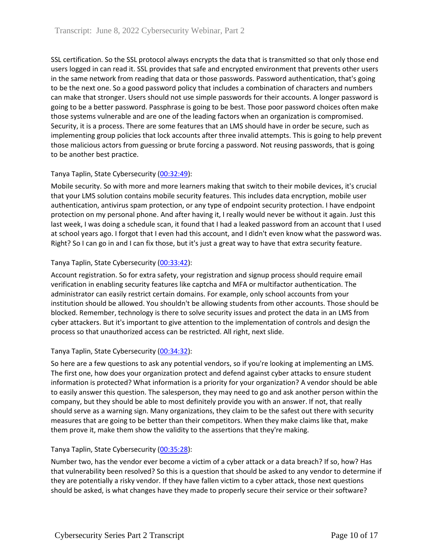SSL certification. So the SSL protocol always encrypts the data that is transmitted so that only those end users logged in can read it. SSL provides that safe and encrypted environment that prevents other users in the same network from reading that data or those passwords. Password authentication, that's going to be the next one. So a good password policy that includes a combination of characters and numbers can make that stronger. Users should not use simple passwords for their accounts. A longer password is going to be a better password. Passphrase is going to be best. Those poor password choices often make those systems vulnerable and are one of the leading factors when an organization is compromised. Security, it is a process. There are some features that an LMS should have in order be secure, such as implementing group policies that lock accounts after three invalid attempts. This is going to help prevent those malicious actors from guessing or brute forcing a password. Not reusing passwords, that is going to be another best practice.

# Tanya Taplin, State Cybersecurity [\(00:32:49\)](https://www.rev.com/transcript-editor/Edit?token=iWoqBNrE8hj4TXL4QXRzBFWP0Hlz68XO_ugBEcx-xDGPmVXcp67nIvN561o8BxrgB03MTWiwOsVccghM4XHQqhZ2EWU&loadFrom=DocumentDeeplink&ts=1969.97):

Mobile security. So with more and more learners making that switch to their mobile devices, it's crucial that your LMS solution contains mobile security features. This includes data encryption, mobile user authentication, antivirus spam protection, or any type of endpoint security protection. I have endpoint protection on my personal phone. And after having it, I really would never be without it again. Just this last week, I was doing a schedule scan, it found that I had a leaked password from an account that I used at school years ago. I forgot that I even had this account, and I didn't even know what the password was. Right? So I can go in and I can fix those, but it's just a great way to have that extra security feature.

# Tanya Taplin, State Cybersecurity [\(00:33:42\)](https://www.rev.com/transcript-editor/Edit?token=UGg9TSHk4V-41BaaNiw9OTmPd_QpF85GB57-RX_GHMITWZmOvaiyT1KjmKrVF9ONLkSHxSi-nTVceSj2aLmkuZRUfBg&loadFrom=DocumentDeeplink&ts=2022.58):

Account registration. So for extra safety, your registration and signup process should require email verification in enabling security features like captcha and MFA or multifactor authentication. The administrator can easily restrict certain domains. For example, only school accounts from your institution should be allowed. You shouldn't be allowing students from other accounts. Those should be blocked. Remember, technology is there to solve security issues and protect the data in an LMS from cyber attackers. But it's important to give attention to the implementation of controls and design the process so that unauthorized access can be restricted. All right, next slide.

### Tanya Taplin, State Cybersecurity [\(00:34:32\)](https://www.rev.com/transcript-editor/Edit?token=0zMr_ZdLRMHJdfKdwmzWkkM_OWFKys67puKvl0-mZTSSCOSfSkHK5YKPIFBJcq4b0hFB9tb_92ItW5RNA5vS9dCrGuw&loadFrom=DocumentDeeplink&ts=2072.91):

So here are a few questions to ask any potential vendors, so if you're looking at implementing an LMS. The first one, how does your organization protect and defend against cyber attacks to ensure student information is protected? What information is a priority for your organization? A vendor should be able to easily answer this question. The salesperson, they may need to go and ask another person within the company, but they should be able to most definitely provide you with an answer. If not, that really should serve as a warning sign. Many organizations, they claim to be the safest out there with security measures that are going to be better than their competitors. When they make claims like that, make them prove it, make them show the validity to the assertions that they're making.

### Tanya Taplin, State Cybersecurity [\(00:35:28\)](https://www.rev.com/transcript-editor/Edit?token=AgoZieVjcu9Xy_Eg0kEiPdObFMubCkTC4EW8b_5QQIC98KnnUeR0zqKLfSGetsUSj9TmSsaL-yNkJuEMseFjpDJ-XHk&loadFrom=DocumentDeeplink&ts=2128.43):

Number two, has the vendor ever become a victim of a cyber attack or a data breach? If so, how? Has that vulnerability been resolved? So this is a question that should be asked to any vendor to determine if they are potentially a risky vendor. If they have fallen victim to a cyber attack, those next questions should be asked, is what changes have they made to properly secure their service or their software?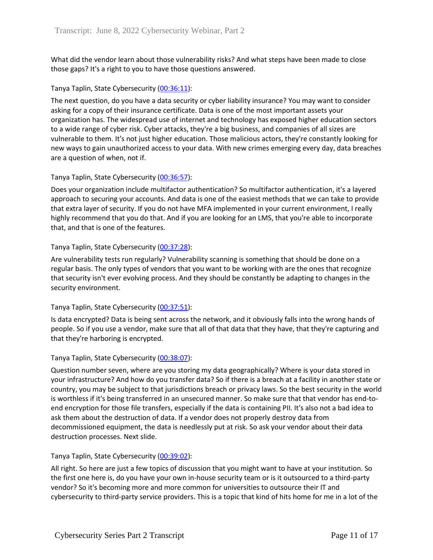What did the vendor learn about those vulnerability risks? And what steps have been made to close those gaps? It's a right to you to have those questions answered.

# Tanya Taplin, State Cybersecurity [\(00:36:11\)](https://www.rev.com/transcript-editor/Edit?token=-eQ596L2OtCqPH9G5-y7RvKjqOI7dp6_eng2LKa5Nz0kjndE36hXzCr8psL1INlmvA0gnbtjbJ8ib25ttv3Dztmlol8&loadFrom=DocumentDeeplink&ts=2171.46):

The next question, do you have a data security or cyber liability insurance? You may want to consider asking for a copy of their insurance certificate. Data is one of the most important assets your organization has. The widespread use of internet and technology has exposed higher education sectors to a wide range of cyber risk. Cyber attacks, they're a big business, and companies of all sizes are vulnerable to them. It's not just higher education. Those malicious actors, they're constantly looking for new ways to gain unauthorized access to your data. With new crimes emerging every day, data breaches are a question of when, not if.

# Tanya Taplin, State Cybersecurity [\(00:36:57\)](https://www.rev.com/transcript-editor/Edit?token=KIl0weMQMULSixwSAlBZG_ROLKYj0MbutR0X93p7krg2jzGg1_OPD0FkoF6vjfqXtSeJC-lWUUYBFiTMf8ENsYI2Pc4&loadFrom=DocumentDeeplink&ts=2217.75):

Does your organization include multifactor authentication? So multifactor authentication, it's a layered approach to securing your accounts. And data is one of the easiest methods that we can take to provide that extra layer of security. If you do not have MFA implemented in your current environment, I really highly recommend that you do that. And if you are looking for an LMS, that you're able to incorporate that, and that is one of the features.

# Tanya Taplin, State Cybersecurity [\(00:37:28\)](https://www.rev.com/transcript-editor/Edit?token=y6Z96ft7tesb5LvKUe3Z5hXOxeJRlbLVL4bKjxhq4tr5ZLwYEB_SSWxeyR4oz1jyfHTQe7468QUQCqoV3ZgNH9e8ZVo&loadFrom=DocumentDeeplink&ts=2248.57):

Are vulnerability tests run regularly? Vulnerability scanning is something that should be done on a regular basis. The only types of vendors that you want to be working with are the ones that recognize that security isn't ever evolving process. And they should be constantly be adapting to changes in the security environment.

### Tanya Taplin, State Cybersecurity [\(00:37:51\)](https://www.rev.com/transcript-editor/Edit?token=Qwq09utorjlxX-Pv3NLKn3dKJOYSlc_ihHN_gNOnuiY2b1ULW3Cix2NNlr9nLHSlaU2paaSduDVGIWyilC4zIA7kMjo&loadFrom=DocumentDeeplink&ts=2271.23):

Is data encrypted? Data is being sent across the network, and it obviously falls into the wrong hands of people. So if you use a vendor, make sure that all of that data that they have, that they're capturing and that they're harboring is encrypted.

### Tanya Taplin, State Cybersecurity [\(00:38:07\)](https://www.rev.com/transcript-editor/Edit?token=4dvn6VYD9gLOHDzXt9TVQhdqkG4-AQwCPpiw3HF-hguOSfLCZPp2Iy525MqAylsFfMZ3Uqouv4p4t_Rl3TRvq_xKWtk&loadFrom=DocumentDeeplink&ts=2287.18):

Question number seven, where are you storing my data geographically? Where is your data stored in your infrastructure? And how do you transfer data? So if there is a breach at a facility in another state or country, you may be subject to that jurisdictions breach or privacy laws. So the best security in the world is worthless if it's being transferred in an unsecured manner. So make sure that that vendor has end-toend encryption for those file transfers, especially if the data is containing PII. It's also not a bad idea to ask them about the destruction of data. If a vendor does not properly destroy data from decommissioned equipment, the data is needlessly put at risk. So ask your vendor about their data destruction processes. Next slide.

### Tanya Taplin, State Cybersecurity [\(00:39:02\)](https://www.rev.com/transcript-editor/Edit?token=Mj2aoX9uSGe_qvV3hWTmZuFQIgug-PYlGoK5muIgBCpvAZ8VOe7YxtaNMoQ7JeOyrqS9kRYl3DjP5sQndfl55HAmXC4&loadFrom=DocumentDeeplink&ts=2342.04):

All right. So here are just a few topics of discussion that you might want to have at your institution. So the first one here is, do you have your own in-house security team or is it outsourced to a third-party vendor? So it's becoming more and more common for universities to outsource their IT and cybersecurity to third-party service providers. This is a topic that kind of hits home for me in a lot of the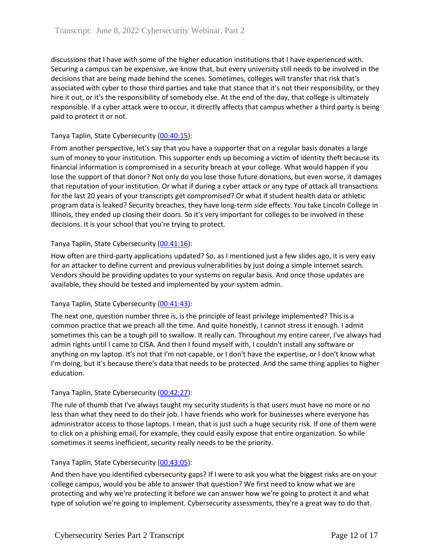discussions that I have with some of the higher education institutions that I have experienced with. Securing a campus can be expensive, we know that, but every university still needs to be involved in the decisions that are being made behind the scenes. Sometimes, colleges will transfer that risk that's associated with cyber to those third parties and take that stance that it's not their responsibility, or they hire it out, or it's the responsibility of somebody else. At the end of the day, that college is ultimately responsible. If a cyber attack were to occur, it directly affects that campus whether a third party is being paid to protect it or not.

# Tanya Taplin, State Cybersecurity [\(00:40:15\)](https://www.rev.com/transcript-editor/Edit?token=TOlPnTHvalCxalYHjA40lyk3p-0KhHH7TV4Q_XHC-zziErcB6AHd9odKM6Q369ad8lZ3E-hXyLyF11glIImgxKDh2eg&loadFrom=DocumentDeeplink&ts=2415.26):

From another perspective, let's say that you have a supporter that on a regular basis donates a large sum of money to your institution. This supporter ends up becoming a victim of identity theft because its financial information is compromised in a security breach at your college. What would happen if you lose the support of that donor? Not only do you lose those future donations, but even worse, it damages that reputation of your institution. Or what if during a cyber attack or any type of attack all transactions for the last 20 years of your transcripts get compromised? Or what if student health data or athletic program data is leaked? Security breaches, they have long-term side effects. You take Lincoln College in Illinois, they ended up closing their doors. So it's very important for colleges to be involved in these decisions. It is your school that you're trying to protect.

# Tanya Taplin, State Cybersecurity [\(00:41:16\)](https://www.rev.com/transcript-editor/Edit?token=A8zyXr1fDi_r5TK0KF6BaIFIZ9ate4M0phMT0l1gEvHsPeYQEppTF9t0JBgMfa-EbQsuTwcgBd6CmBFpZLdKeDbXvJw&loadFrom=DocumentDeeplink&ts=2476.47):

How often are third-party applications updated? So, as I mentioned just a few slides ago, it is very easy for an attacker to define current and previous vulnerabilities by just doing a simple internet search. Vendors should be providing updates to your systems on regular basis. And once those updates are available, they should be tested and implemented by your system admin.

### Tanya Taplin, State Cybersecurity [\(00:41:43\)](https://www.rev.com/transcript-editor/Edit?token=5iLvDbaZhpo7R5Ke1-wnSQPW1Wpbld7MgTx0jvWE33BOSsjPPNvryHHdHsTSbcnLd8RXaeMOsrLaDR8nx91T-wlPDiU&loadFrom=DocumentDeeplink&ts=2503.41):

The next one, question number three is, is the principle of least privilege implemented? This is a common practice that we preach all the time. And quite honestly, I cannot stress it enough. I admit sometimes this can be a tough pill to swallow. It really can. Throughout my entire career, I've always had admin rights until I came to CISA. And then I found myself with, I couldn't install any software or anything on my laptop. It's not that I'm not capable, or I don't have the expertise, or I don't know what I'm doing, but it's because there's data that needs to be protected. And the same thing applies to higher education.

### Tanya Taplin, State Cybersecurity [\(00:42:27\)](https://www.rev.com/transcript-editor/Edit?token=Hw1Z8F5YN9kOUL9CQLrLgSekR4frrMU6OWtWEFwLMotp3qb-0dtvOTaIrD2k0OZiZAJqBFjs2lNONHTSwphSlbU-T0s&loadFrom=DocumentDeeplink&ts=2547.09):

The rule of thumb that I've always taught my security students is that users must have no more or no less than what they need to do their job. I have friends who work for businesses where everyone has administrator access to those laptops. I mean, that is just such a huge security risk. If one of them were to click on a phishing email, for example, they could easily expose that entire organization. So while sometimes it seems inefficient, security really needs to be the priority.

### Tanya Taplin, State Cybersecurity [\(00:43:05\)](https://www.rev.com/transcript-editor/Edit?token=4AW0KYGfzj8YC434KkWwrJjqKFEPHbUXaTr01rXeJMkgnmwHg1B-9bfVBJWfLRHhRvDaBthwjq3i33vNa3o4ZgJKom4&loadFrom=DocumentDeeplink&ts=2585.23):

And then have you identified cybersecurity gaps? If I were to ask you what the biggest risks are on your college campus, would you be able to answer that question? We first need to know what we are protecting and why we're protecting it before we can answer how we're going to protect it and what type of solution we're going to implement. Cybersecurity assessments, they're a great way to do that.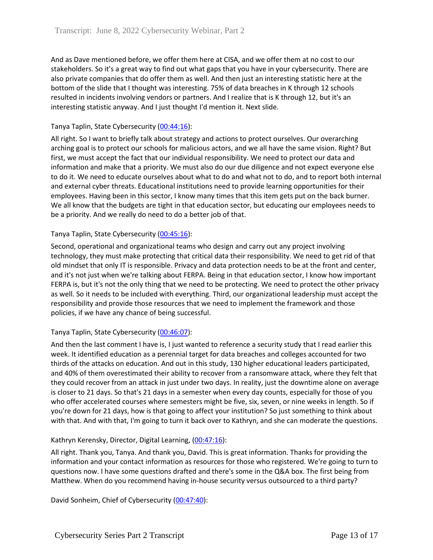And as Dave mentioned before, we offer them here at CISA, and we offer them at no cost to our stakeholders. So it's a great way to find out what gaps that you have in your cybersecurity. There are also private companies that do offer them as well. And then just an interesting statistic here at the bottom of the slide that I thought was interesting. 75% of data breaches in K through 12 schools resulted in incidents involving vendors or partners. And I realize that is K through 12, but it's an interesting statistic anyway. And I just thought I'd mention it. Next slide.

# Tanya Taplin, State Cybersecurity [\(00:44:16\)](https://www.rev.com/transcript-editor/Edit?token=y924litnjRqcZ6G6YZf5ZDA4to6EHa3KhbrvUaBeRePvx0G8_r3wBpO3oc0pWHQRNr5hl20kIfZopbIyUhQe1sjDjN0&loadFrom=DocumentDeeplink&ts=2656.3):

All right. So I want to briefly talk about strategy and actions to protect ourselves. Our overarching arching goal is to protect our schools for malicious actors, and we all have the same vision. Right? But first, we must accept the fact that our individual responsibility. We need to protect our data and information and make that a priority. We must also do our due diligence and not expect everyone else to do it. We need to educate ourselves about what to do and what not to do, and to report both internal and external cyber threats. Educational institutions need to provide learning opportunities for their employees. Having been in this sector, I know many times that this item gets put on the back burner. We all know that the budgets are tight in that education sector, but educating our employees needs to be a priority. And we really do need to do a better job of that.

### Tanya Taplin, State Cybersecurity [\(00:45:16\)](https://www.rev.com/transcript-editor/Edit?token=_whPiMz41IjMuxaSGXWhEv_vkwrxb4nmwah_rNWGkk9NTqhBNbG0brmEUtyc8jTHVZwH9Uga8jv6CGfICEsUH4acmSY&loadFrom=DocumentDeeplink&ts=2716.44):

Second, operational and organizational teams who design and carry out any project involving technology, they must make protecting that critical data their responsibility. We need to get rid of that old mindset that only IT is responsible. Privacy and data protection needs to be at the front and center, and it's not just when we're talking about FERPA. Being in that education sector, I know how important FERPA is, but it's not the only thing that we need to be protecting. We need to protect the other privacy as well. So it needs to be included with everything. Third, our organizational leadership must accept the responsibility and provide those resources that we need to implement the framework and those policies, if we have any chance of being successful.

# Tanya Taplin, State Cybersecurity [\(00:46:07\)](https://www.rev.com/transcript-editor/Edit?token=Q1_LzGeH-Qg_21cQehR4paJHziQzpAtyt6p_u3r13txEVYaWDzTACAoR1YHJJW9iEvEYKCnq4TfA5AWAAuVMFNWlt-8&loadFrom=DocumentDeeplink&ts=2767.34):

And then the last comment I have is, I just wanted to reference a security study that I read earlier this week. It identified education as a perennial target for data breaches and colleges accounted for two thirds of the attacks on education. And out in this study, 130 higher educational leaders participated, and 40% of them overestimated their ability to recover from a ransomware attack, where they felt that they could recover from an attack in just under two days. In reality, just the downtime alone on average is closer to 21 days. So that's 21 days in a semester when every day counts, especially for those of you who offer accelerated courses where semesters might be five, six, seven, or nine weeks in length. So if you're down for 21 days, how is that going to affect your institution? So just something to think about with that. And with that, I'm going to turn it back over to Kathryn, and she can moderate the questions.

### Kathryn Kerensky, Director, Digital Learning, [\(00:47:16\)](https://www.rev.com/transcript-editor/Edit?token=vsiu-VzRiCTkVrxfUigTrNtbDOALvNK0Izh6_6pJ_2NuhCoxZLrpjVyH7ocZh9s0FizkTj8UHr93ZebevGdL2Z7NRMM&loadFrom=DocumentDeeplink&ts=2836.5):

All right. Thank you, Tanya. And thank you, David. This is great information. Thanks for providing the information and your contact information as resources for those who registered. We're going to turn to questions now. I have some questions drafted and there's some in the Q&A box. The first being from Matthew. When do you recommend having in-house security versus outsourced to a third party?

David Sonheim, Chief of Cybersecurity [\(00:47:40\)](https://www.rev.com/transcript-editor/Edit?token=lWonMaqLDf6yDr9VExajgMXRF3XjFiEPbqP31DcaVNYVhqPFH_xa1cy20hAwDobQ_3KFtzfwGplEwpKASKhdZXfBnyA&loadFrom=DocumentDeeplink&ts=2860.46):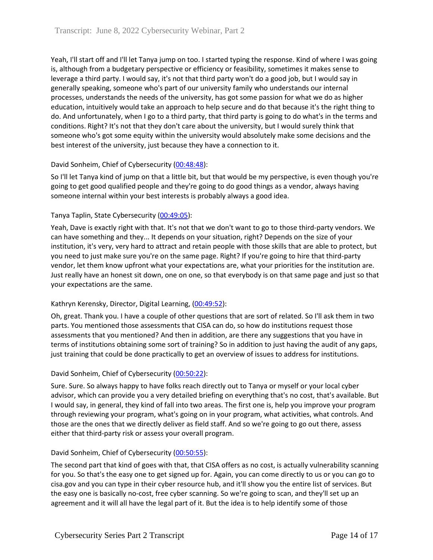Yeah, I'll start off and I'll let Tanya jump on too. I started typing the response. Kind of where I was going is, although from a budgetary perspective or efficiency or feasibility, sometimes it makes sense to leverage a third party. I would say, it's not that third party won't do a good job, but I would say in generally speaking, someone who's part of our university family who understands our internal processes, understands the needs of the university, has got some passion for what we do as higher education, intuitively would take an approach to help secure and do that because it's the right thing to do. And unfortunately, when I go to a third party, that third party is going to do what's in the terms and conditions. Right? It's not that they don't care about the university, but I would surely think that someone who's got some equity within the university would absolutely make some decisions and the best interest of the university, just because they have a connection to it.

# David Sonheim, Chief of Cybersecurity [\(00:48:48\)](https://www.rev.com/transcript-editor/Edit?token=VgGYyrnExMShj-zurgiLT4AEF79ngtYvTXZFcZ75_nr1CZFgz_XpA2oRP3PWT2Q1sapwXxzQAA4AyJscfAW7raA7NQg&loadFrom=DocumentDeeplink&ts=2928.57):

So I'll let Tanya kind of jump on that a little bit, but that would be my perspective, is even though you're going to get good qualified people and they're going to do good things as a vendor, always having someone internal within your best interests is probably always a good idea.

### Tanya Taplin, State Cybersecurity [\(00:49:05\)](https://www.rev.com/transcript-editor/Edit?token=8KWgMmKIeefb5pdOP6ay_DHAuh8bKsonBp-ni4gPEmNj0EWc-S99hhkFyn4I0B9ccxOn9So7iUVZJxNDfpxK09dVt9c&loadFrom=DocumentDeeplink&ts=2945.41):

Yeah, Dave is exactly right with that. It's not that we don't want to go to those third-party vendors. We can have something and they... It depends on your situation, right? Depends on the size of your institution, it's very, very hard to attract and retain people with those skills that are able to protect, but you need to just make sure you're on the same page. Right? If you're going to hire that third-party vendor, let them know upfront what your expectations are, what your priorities for the institution are. Just really have an honest sit down, one on one, so that everybody is on that same page and just so that your expectations are the same.

### Kathryn Kerensky, Director, Digital Learning, [\(00:49:52\)](https://www.rev.com/transcript-editor/Edit?token=-NanohkSXTh6RqCddnnEDpSbCIPtAJV6Pmuwy2y1Br-FdWX56FBQ1T5dnrCbVH45N_FNgGreJk1NRf09s15ga5bq_z4&loadFrom=DocumentDeeplink&ts=2992.98):

Oh, great. Thank you. I have a couple of other questions that are sort of related. So I'll ask them in two parts. You mentioned those assessments that CISA can do, so how do institutions request those assessments that you mentioned? And then in addition, are there any suggestions that you have in terms of institutions obtaining some sort of training? So in addition to just having the audit of any gaps, just training that could be done practically to get an overview of issues to address for institutions.

### David Sonheim, Chief of Cybersecurity [\(00:50:22\)](https://www.rev.com/transcript-editor/Edit?token=34YmJsqgECq5WKFfd3KMQRIp4BHvtAH9VlefIHdrImBwsDux3b4SycB2569W2faQ-SmLDlHAyZ6rIY4QwDKnM2QJ-TM&loadFrom=DocumentDeeplink&ts=3022.31):

Sure. Sure. So always happy to have folks reach directly out to Tanya or myself or your local cyber advisor, which can provide you a very detailed briefing on everything that's no cost, that's available. But I would say, in general, they kind of fall into two areas. The first one is, help you improve your program through reviewing your program, what's going on in your program, what activities, what controls. And those are the ones that we directly deliver as field staff. And so we're going to go out there, assess either that third-party risk or assess your overall program.

### David Sonheim, Chief of Cybersecurity [\(00:50:55\)](https://www.rev.com/transcript-editor/Edit?token=OrA3DtilvkIhFiQep2M2w02ss15PXdoebCLEciJ0wF9MHkAZ4pBh3ETmgxT-ZqfSDboa_Rz9WBBWW3ZhnmGnnKbnobA&loadFrom=DocumentDeeplink&ts=3055.02):

The second part that kind of goes with that, that CISA offers as no cost, is actually vulnerability scanning for you. So that's the easy one to get signed up for. Again, you can come directly to us or you can go to cisa.gov and you can type in their cyber resource hub, and it'll show you the entire list of services. But the easy one is basically no-cost, free cyber scanning. So we're going to scan, and they'll set up an agreement and it will all have the legal part of it. But the idea is to help identify some of those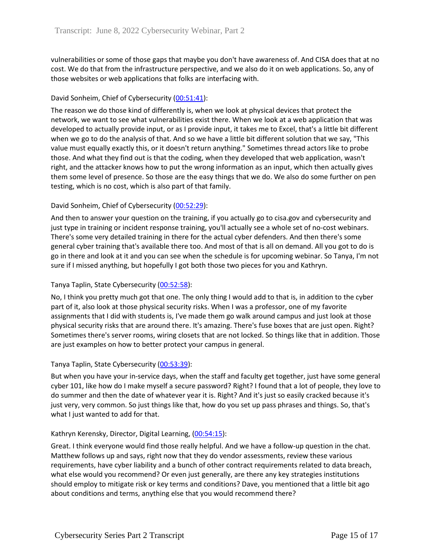vulnerabilities or some of those gaps that maybe you don't have awareness of. And CISA does that at no cost. We do that from the infrastructure perspective, and we also do it on web applications. So, any of those websites or web applications that folks are interfacing with.

# David Sonheim, Chief of Cybersecurity [\(00:51:41\)](https://www.rev.com/transcript-editor/Edit?token=tTswwUkvcPHezL4zkUE8CwjK_bIboJaVdSasvKq5NZf_c8MklqL0l5Ei59YvTM6F78fpNlcb_DEbNrDmOMbQWpJdXXM&loadFrom=DocumentDeeplink&ts=3101.58):

The reason we do those kind of differently is, when we look at physical devices that protect the network, we want to see what vulnerabilities exist there. When we look at a web application that was developed to actually provide input, or as I provide input, it takes me to Excel, that's a little bit different when we go to do the analysis of that. And so we have a little bit different solution that we say, "This value must equally exactly this, or it doesn't return anything." Sometimes thread actors like to probe those. And what they find out is that the coding, when they developed that web application, wasn't right, and the attacker knows how to put the wrong information as an input, which then actually gives them some level of presence. So those are the easy things that we do. We also do some further on pen testing, which is no cost, which is also part of that family.

# David Sonheim, Chief of Cybersecurity [\(00:52:29\)](https://www.rev.com/transcript-editor/Edit?token=k0P_OaRqj2Xas00jYM1aajDd0I5lYL350REd-qIZ72Bje0l75qmowp80FFBB-F3gv8Xd0nX_mQjwRISB228zj6uWL2M&loadFrom=DocumentDeeplink&ts=3149.06):

And then to answer your question on the training, if you actually go to cisa.gov and cybersecurity and just type in training or incident response training, you'll actually see a whole set of no-cost webinars. There's some very detailed training in there for the actual cyber defenders. And then there's some general cyber training that's available there too. And most of that is all on demand. All you got to do is go in there and look at it and you can see when the schedule is for upcoming webinar. So Tanya, I'm not sure if I missed anything, but hopefully I got both those two pieces for you and Kathryn.

### Tanya Taplin, State Cybersecurity [\(00:52:58\)](https://www.rev.com/transcript-editor/Edit?token=pFlXFhx97pWZ4fRv59Wgbz6eR69UBkMMK0c6aICkHXffmhKUR4mkt5MMqlNERKIIg9kjeoo-MJWbQXnwDoeYcNNh0EI&loadFrom=DocumentDeeplink&ts=3178.03):

No, I think you pretty much got that one. The only thing I would add to that is, in addition to the cyber part of it, also look at those physical security risks. When I was a professor, one of my favorite assignments that I did with students is, I've made them go walk around campus and just look at those physical security risks that are around there. It's amazing. There's fuse boxes that are just open. Right? Sometimes there's server rooms, wiring closets that are not locked. So things like that in addition. Those are just examples on how to better protect your campus in general.

### Tanya Taplin, State Cybersecurity [\(00:53:39\)](https://www.rev.com/transcript-editor/Edit?token=D8MQewR3DaEygq644tS2uJoJiT81sj9jQx63tdW6S0EpGj-FOImnsWOePkeWNG2fXHNBvwe2Y87WnDoNLAsCFf6OSN0&loadFrom=DocumentDeeplink&ts=3219.66):

But when you have your in-service days, when the staff and faculty get together, just have some general cyber 101, like how do I make myself a secure password? Right? I found that a lot of people, they love to do summer and then the date of whatever year it is. Right? And it's just so easily cracked because it's just very, very common. So just things like that, how do you set up pass phrases and things. So, that's what I just wanted to add for that.

### Kathryn Kerensky, Director, Digital Learning, [\(00:54:15\)](https://www.rev.com/transcript-editor/Edit?token=0pA5F4AkqQBWTGA6U8LGRkYz-Bq8LeqhPFmJY5s3VqcNaz8heD2g3KHF9D63HssBsdmvKOHYj7jD4ZxrpxsECY-qNBE&loadFrom=DocumentDeeplink&ts=3255.74):

Great. I think everyone would find those really helpful. And we have a follow-up question in the chat. Matthew follows up and says, right now that they do vendor assessments, review these various requirements, have cyber liability and a bunch of other contract requirements related to data breach, what else would you recommend? Or even just generally, are there any key strategies institutions should employ to mitigate risk or key terms and conditions? Dave, you mentioned that a little bit ago about conditions and terms, anything else that you would recommend there?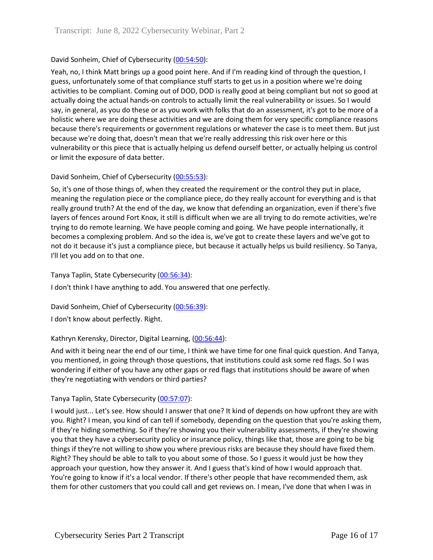# David Sonheim, Chief of Cybersecurity [\(00:54:50\)](https://www.rev.com/transcript-editor/Edit?token=_8iHNHyoRWgSRl4EzI3EcaD08tL6X92VIoJIjOGGD0r6Qxjj4EJMpKjn2LfrbzWOtQaIsEi4Zk3p1NsFK21vD0gDIR0&loadFrom=DocumentDeeplink&ts=3290.8):

Yeah, no, I think Matt brings up a good point here. And if I'm reading kind of through the question, I guess, unfortunately some of that compliance stuff starts to get us in a position where we're doing activities to be compliant. Coming out of DOD, DOD is really good at being compliant but not so good at actually doing the actual hands-on controls to actually limit the real vulnerability or issues. So I would say, in general, as you do these or as you work with folks that do an assessment, it's got to be more of a holistic where we are doing these activities and we are doing them for very specific compliance reasons because there's requirements or government regulations or whatever the case is to meet them. But just because we're doing that, doesn't mean that we're really addressing this risk over here or this vulnerability or this piece that is actually helping us defend ourself better, or actually helping us control or limit the exposure of data better.

# David Sonheim, Chief of Cybersecurity [\(00:55:53\)](https://www.rev.com/transcript-editor/Edit?token=82trYBSpgMdV-oaUJe2C_b1rikhRaw47_q6agBQm_AT86Ktf7xJjF_psdL4V2vKt92SOtFTT1AsLhPvb-7fR_cEM3co&loadFrom=DocumentDeeplink&ts=3353.25):

So, it's one of those things of, when they created the requirement or the control they put in place, meaning the regulation piece or the compliance piece, do they really account for everything and is that really ground truth? At the end of the day, we know that defending an organization, even if there's five layers of fences around Fort Knox, it still is difficult when we are all trying to do remote activities, we're trying to do remote learning. We have people coming and going. We have people internationally, it becomes a complexing problem. And so the idea is, we've got to create these layers and we've got to not do it because it's just a compliance piece, but because it actually helps us build resiliency. So Tanya, I'll let you add on to that one.

Tanya Taplin, State Cybersecurity [\(00:56:34\)](https://www.rev.com/transcript-editor/Edit?token=sgqiJmy-N_ikCrh2PGxhvlUfGVE1pB7rzMHZEEI4aRDxvguKyWpCa3ECmAAYPsv15e-rtSHn4Wg-3DmyD2NvkosNMRE&loadFrom=DocumentDeeplink&ts=3394.68):

I don't think I have anything to add. You answered that one perfectly.

David Sonheim, Chief of Cybersecurity [\(00:56:39\)](https://www.rev.com/transcript-editor/Edit?token=zWMK1bURLy2gagBEipd1RMcv__FnSAbvsTBqc_jiXdNHEkPYUPXyi5c2v4jsduLmQWF-NQ7mYkzJeJ-ksLzw751IROU&loadFrom=DocumentDeeplink&ts=3399.8):

I don't know about perfectly. Right.

### Kathryn Kerensky, Director, Digital Learning, [\(00:56:44\)](https://www.rev.com/transcript-editor/Edit?token=mvutJ7McWChdbNP2Y7aXyiwfwSj4ZKS2nw21DZgGkAH38uIkHjfkR2DVyxeAvSCDiVW2yTQl7KV4NmvQVHvdLciIYgk&loadFrom=DocumentDeeplink&ts=3404.73):

And with it being near the end of our time, I think we have time for one final quick question. And Tanya, you mentioned, in going through those questions, that institutions could ask some red flags. So I was wondering if either of you have any other gaps or red flags that institutions should be aware of when they're negotiating with vendors or third parties?

### Tanya Taplin, State Cybersecurity [\(00:57:07\)](https://www.rev.com/transcript-editor/Edit?token=fZkmdYz4ehQko2aITf5tGFlNL9vVKoXRADHlZ71YWENB8LK2Z2KdBUtOrHWayIJkGM57cia8nxnj3ha-28uiiVUjHRw&loadFrom=DocumentDeeplink&ts=3427.67):

I would just... Let's see. How should I answer that one? It kind of depends on how upfront they are with you. Right? I mean, you kind of can tell if somebody, depending on the question that you're asking them, if they're hiding something. So if they're showing you their vulnerability assessments, if they're showing you that they have a cybersecurity policy or insurance policy, things like that, those are going to be big things if they're not willing to show you where previous risks are because they should have fixed them. Right? They should be able to talk to you about some of those. So I guess it would just be how they approach your question, how they answer it. And I guess that's kind of how I would approach that. You're going to know if it's a local vendor. If there's other people that have recommended them, ask them for other customers that you could call and get reviews on. I mean, I've done that when I was in